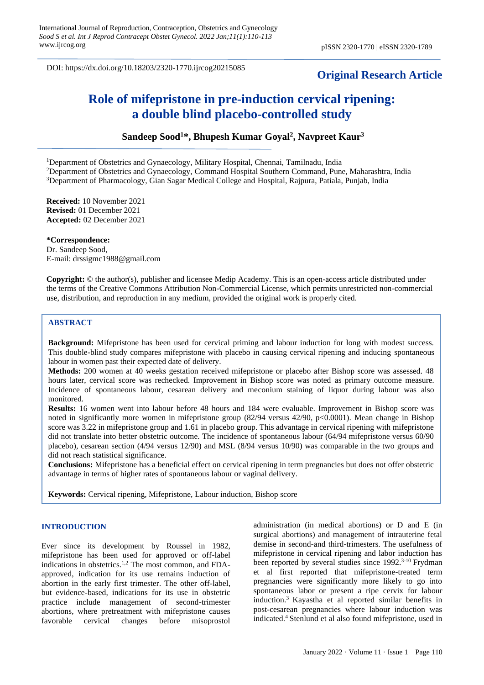DOI: https://dx.doi.org/10.18203/2320-1770.ijrcog20215085

# **Original Research Article**

# **Role of mifepristone in pre-induction cervical ripening: a double blind placebo-controlled study**

# **Sandeep Sood<sup>1</sup>\*, Bhupesh Kumar Goyal<sup>2</sup> , Navpreet Kaur<sup>3</sup>**

<sup>1</sup>Department of Obstetrics and Gynaecology, Military Hospital, Chennai, Tamilnadu, India <sup>2</sup>Department of Obstetrics and Gynaecology, Command Hospital Southern Command, Pune, Maharashtra, India <sup>3</sup>Department of Pharmacology, Gian Sagar Medical College and Hospital, Rajpura, Patiala, Punjab, India

**Received:** 10 November 2021 **Revised:** 01 December 2021 **Accepted:** 02 December 2021

**\*Correspondence:** Dr. Sandeep Sood, E-mail: [drssigmc1988@gmail.com](mailto:drssigmc1988@gmail.com)

**Copyright:** © the author(s), publisher and licensee Medip Academy. This is an open-access article distributed under the terms of the Creative Commons Attribution Non-Commercial License, which permits unrestricted non-commercial use, distribution, and reproduction in any medium, provided the original work is properly cited.

# **ABSTRACT**

**Background:** Mifepristone has been used for cervical priming and labour induction for long with modest success. This double-blind study compares mifepristone with placebo in causing cervical ripening and inducing spontaneous labour in women past their expected date of delivery.

**Methods:** 200 women at 40 weeks gestation received mifepristone or placebo after Bishop score was assessed. 48 hours later, cervical score was rechecked. Improvement in Bishop score was noted as primary outcome measure. Incidence of spontaneous labour, cesarean delivery and meconium staining of liquor during labour was also monitored.

**Results:** 16 women went into labour before 48 hours and 184 were evaluable. Improvement in Bishop score was noted in significantly more women in mifepristone group (82/94 versus 42/90, p<0.0001). Mean change in Bishop score was 3.22 in mifepristone group and 1.61 in placebo group. This advantage in cervical ripening with mifepristone did not translate into better obstetric outcome. The incidence of spontaneous labour (64/94 mifepristone versus 60/90 placebo), cesarean section (4/94 versus 12/90) and MSL (8/94 versus 10/90) was comparable in the two groups and did not reach statistical significance.

**Conclusions:** Mifepristone has a beneficial effect on cervical ripening in term pregnancies but does not offer obstetric advantage in terms of higher rates of spontaneous labour or vaginal delivery.

**Keywords:** Cervical ripening, Mifepristone, Labour induction, Bishop score

# **INTRODUCTION**

Ever since its development by Roussel in 1982, mifepristone has been used for approved or off-label indications in obstetrics.<sup>1,2</sup> The most common, and FDAapproved, indication for its use remains induction of abortion in the early first trimester. The other off-label, but evidence-based, indications for its use in obstetric practice include management of second-trimester abortions, where pretreatment with mifepristone causes favorable cervical changes before misoprostol administration (in medical abortions) or D and E (in surgical abortions) and management of intrauterine fetal demise in second-and third-trimesters. The usefulness of mifepristone in cervical ripening and labor induction has been reported by several studies since 1992.<sup>3-10</sup> Frydman et al first reported that mifepristone-treated term pregnancies were significantly more likely to go into spontaneous labor or present a ripe cervix for labour induction.<sup>3</sup> Kayastha et al reported similar benefits in post-cesarean pregnancies where labour induction was indicated.<sup>4</sup> Stenlund et al also found mifepristone, used in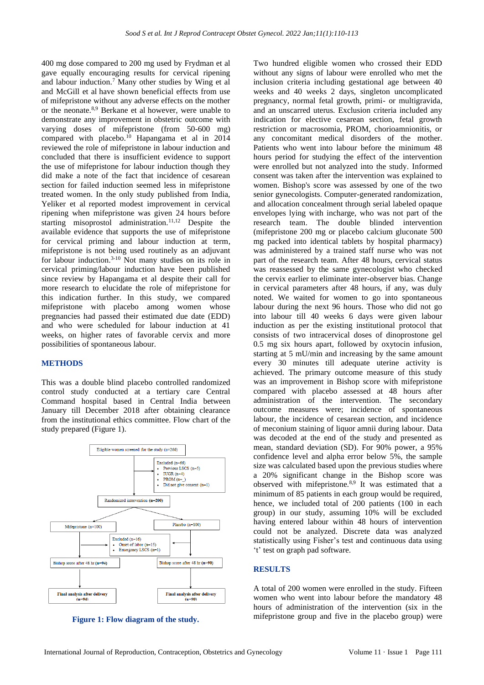400 mg dose compared to 200 mg used by Frydman et al gave equally encouraging results for cervical ripening and labour induction.<sup>7</sup> Many other studies by Wing et al and McGill et al have shown beneficial effects from use of mifepristone without any adverse effects on the mother or the neonate.8,9 Berkane et al however, were unable to demonstrate any improvement in obstetric outcome with varying doses of mifepristone (from 50-600 mg) compared with placebo.<sup>10</sup> Hapangama et al in 2014 reviewed the role of mifepristone in labour induction and concluded that there is insufficient evidence to support the use of mifepristone for labour induction though they did make a note of the fact that incidence of cesarean section for failed induction seemed less in mifepristone treated women. In the only study published from India, Yeliker et al reported modest improvement in cervical ripening when mifepristone was given 24 hours before starting misoprostol administration.<sup>11,12</sup> Despite the available evidence that supports the use of mifepristone for cervical priming and labour induction at term, mifepristone is not being used routinely as an adjuvant for labour induction.3-10 Not many studies on its role in cervical priming/labour induction have been published since review by Hapangama et al despite their call for more research to elucidate the role of mifepristone for this indication further. In this study, we compared mifepristone with placebo among women whose pregnancies had passed their estimated due date (EDD) and who were scheduled for labour induction at 41 weeks, on higher rates of favorable cervix and more possibilities of spontaneous labour.

#### **METHODS**

This was a double blind placebo controlled randomized control study conducted at a tertiary care Central Command hospital based in Central India between January till December 2018 after obtaining clearance from the institutional ethics committee. Flow chart of the study prepared (Figure 1).



**Figure 1: Flow diagram of the study.**

Two hundred eligible women who crossed their EDD without any signs of labour were enrolled who met the inclusion criteria including gestational age between 40 weeks and 40 weeks 2 days, singleton uncomplicated pregnancy, normal fetal growth, primi- or multigravida, and an unscarred uterus. Exclusion criteria included any indication for elective cesarean section, fetal growth restriction or macrosomia, PROM, chorioamnionitis, or any concomitant medical disorders of the mother. Patients who went into labour before the minimum 48 hours period for studying the effect of the intervention were enrolled but not analyzed into the study. Informed consent was taken after the intervention was explained to women. Bishop's score was assessed by one of the two senior gynecologists. Computer-generated randomization, and allocation concealment through serial labeled opaque envelopes lying with incharge, who was not part of the research team. The double blinded intervention (mifepristone 200 mg or placebo calcium gluconate 500 mg packed into identical tablets by hospital pharmacy) was administered by a trained staff nurse who was not part of the research team. After 48 hours, cervical status was reassessed by the same gynecologist who checked the cervix earlier to eliminate inter-observer bias. Change in cervical parameters after 48 hours, if any, was duly noted. We waited for women to go into spontaneous labour during the next 96 hours. Those who did not go into labour till 40 weeks 6 days were given labour induction as per the existing institutional protocol that consists of two intracervical doses of dinoprostone gel 0.5 mg six hours apart, followed by oxytocin infusion, starting at 5 mU/min and increasing by the same amount every 30 minutes till adequate uterine activity is achieved. The primary outcome measure of this study was an improvement in Bishop score with mifepristone compared with placebo assessed at 48 hours after administration of the intervention. The secondary outcome measures were; incidence of spontaneous labour, the incidence of cesarean section, and incidence of meconium staining of liquor amnii during labour. Data was decoded at the end of the study and presented as mean, standard deviation (SD). For 90% power, a 95% confidence level and alpha error below 5%, the sample size was calculated based upon the previous studies where a 20% significant change in the Bishop score was observed with mifepristone.8,9 It was estimated that a minimum of 85 patients in each group would be required, hence, we included total of 200 patients (100 in each group) in our study, assuming 10% will be excluded having entered labour within 48 hours of intervention could not be analyzed. Discrete data was analyzed statistically using Fisher's test and continuous data using 't' test on graph pad software.

#### **RESULTS**

A total of 200 women were enrolled in the study. Fifteen women who went into labour before the mandatory 48 hours of administration of the intervention (six in the mifepristone group and five in the placebo group) were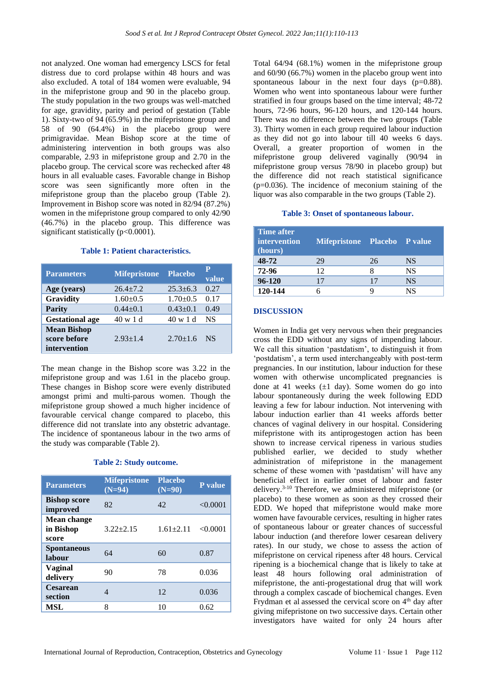not analyzed. One woman had emergency LSCS for fetal distress due to cord prolapse within 48 hours and was also excluded. A total of 184 women were evaluable, 94 in the mifepristone group and 90 in the placebo group. The study population in the two groups was well-matched for age, gravidity, parity and period of gestation (Table 1). Sixty-two of 94 (65.9%) in the mifepristone group and 58 of 90 (64.4%) in the placebo group were primigravidae. Mean Bishop score at the time of administering intervention in both groups was also comparable, 2.93 in mifepristone group and 2.70 in the placebo group. The cervical score was rechecked after 48 hours in all evaluable cases. Favorable change in Bishop score was seen significantly more often in the mifepristone group than the placebo group (Table 2). Improvement in Bishop score was noted in 82/94 (87.2%) women in the mifepristone group compared to only 42/90 (46.7%) in the placebo group. This difference was significant statistically (p<0.0001).

# **Table 1: Patient characteristics.**

| <b>Parameters</b>                                  | <b>Mifepristone</b> | <b>Placebo</b> | P<br>value |
|----------------------------------------------------|---------------------|----------------|------------|
| Age (years)                                        | $26.4 + 7.2$        | $25.3 + 6.3$   | 0.27       |
| Gravidity                                          | $1.60+0.5$          | $1.70 \pm 0.5$ | 0.17       |
| <b>Parity</b>                                      | $0.44 + 0.1$        | $0.43+0.1$     | 0.49       |
| <b>Gestational age</b>                             | 40 w 1 d            | 40 w 1 d       | <b>NS</b>  |
| <b>Mean Bishop</b><br>score before<br>intervention | $2.93 \pm 1.4$      | $2.70 \pm 1.6$ | NS.        |

The mean change in the Bishop score was 3.22 in the mifepristone group and was 1.61 in the placebo group. These changes in Bishop score were evenly distributed amongst primi and multi-parous women. Though the mifepristone group showed a much higher incidence of favourable cervical change compared to placebo, this difference did not translate into any obstetric advantage. The incidence of spontaneous labour in the two arms of the study was comparable (Table 2).

#### **Table 2: Study outcome.**

| <b>Parameters</b>                        | <b>Mifepristone</b><br>$(N=94)$ | <b>Placebo</b><br>$(N=90)$ | P value  |
|------------------------------------------|---------------------------------|----------------------------|----------|
| <b>Bishop score</b><br>improved          | 82                              | 42                         | < 0.0001 |
| <b>Mean change</b><br>in Bishop<br>score | $3.22 + 2.15$                   | $1.61 \pm 2.11$            | < 0.0001 |
| <b>Spontaneous</b><br>labour             | 64                              | 60                         | 0.87     |
| <b>Vaginal</b><br>delivery               | 90                              | 78                         | 0.036    |
| <b>Cesarean</b><br>section               | 4                               | 12                         | 0.036    |
| <b>MSL</b>                               | 8                               | 10                         | 0.62     |

Total 64/94 (68.1%) women in the mifepristone group and 60/90 (66.7%) women in the placebo group went into spontaneous labour in the next four days (p=0.88). Women who went into spontaneous labour were further stratified in four groups based on the time interval; 48-72 hours, 72-96 hours, 96-120 hours, and 120-144 hours. There was no difference between the two groups (Table 3). Thirty women in each group required labour induction as they did not go into labour till 40 weeks 6 days. Overall, a greater proportion of women in the mifepristone group delivered vaginally (90/94 in mifepristone group versus 78/90 in placebo group) but the difference did not reach statistical significance  $(p=0.036)$ . The incidence of meconium staining of the liquor was also comparable in the two groups (Table 2).

#### **Table 3: Onset of spontaneous labour.**

| Time after<br><i>intervention</i><br>(hours) | Mifepristone Placebo P value |    |           |
|----------------------------------------------|------------------------------|----|-----------|
| 48-72                                        | 29                           | 26 | <b>NS</b> |
| 72-96                                        | 12                           |    | <b>NS</b> |
| 96-120                                       | 17                           | 17 | <b>NS</b> |
| 120-144                                      |                              | Q  | NS        |

#### **DISCUSSION**

Women in India get very nervous when their pregnancies cross the EDD without any signs of impending labour. We call this situation 'pastdatism', to distinguish it from 'postdatism', a term used interchangeably with post-term pregnancies. In our institution, labour induction for these women with otherwise uncomplicated pregnancies is done at 41 weeks  $(\pm 1$  day). Some women do go into labour spontaneously during the week following EDD leaving a few for labour induction. Not intervening with labour induction earlier than 41 weeks affords better chances of vaginal delivery in our hospital. Considering mifepristone with its antiprogestogen action has been shown to increase cervical ripeness in various studies published earlier, we decided to study whether administration of mifepristone in the management scheme of these women with 'pastdatism' will have any beneficial effect in earlier onset of labour and faster delivery.3-10 Therefore, we administered mifepristone (or placebo) to these women as soon as they crossed their EDD. We hoped that mifepristone would make more women have favourable cervices, resulting in higher rates of spontaneous labour or greater chances of successful labour induction (and therefore lower cesarean delivery rates). In our study, we chose to assess the action of mifepristone on cervical ripeness after 48 hours. Cervical ripening is a biochemical change that is likely to take at least 48 hours following oral administration of mifepristone, the anti-progestational drug that will work through a complex cascade of biochemical changes. Even Frydman et al assessed the cervical score on 4<sup>th</sup> day after giving mifepristone on two successive days. Certain other investigators have waited for only 24 hours after